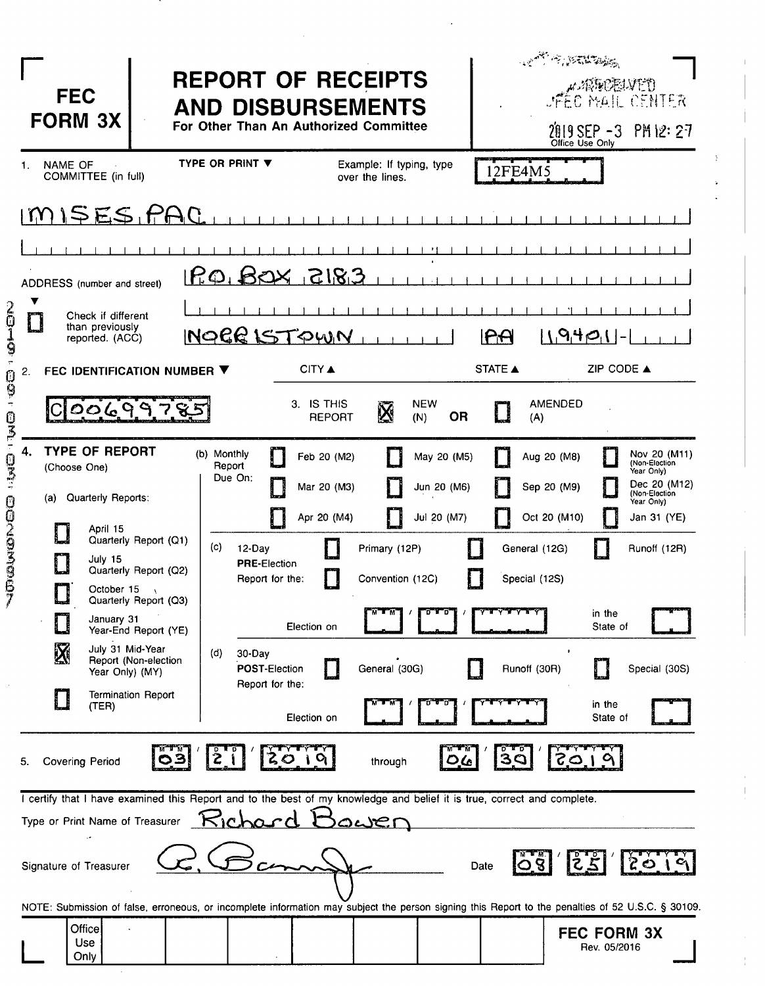| <b>FEC</b><br><b>FORM 3X</b>                                                                                                                  | <b>REPORT OF RECEIPTS</b><br><b>AND DISBURSEMENTS</b><br>For Other Than An Authorized Committee                                                   | <b>CONTRACTORS</b><br>CENTER AND MARKED THAT<br>2019 SEP -3 PM 12: 27<br>Office Use Only                                 |
|-----------------------------------------------------------------------------------------------------------------------------------------------|---------------------------------------------------------------------------------------------------------------------------------------------------|--------------------------------------------------------------------------------------------------------------------------|
| NAME OF<br>1.<br>COMMITTEE (in full)                                                                                                          | <b>TYPE OR PRINT ▼</b><br>Example: If typing, type<br>over the lines.                                                                             | 12FE4M5                                                                                                                  |
| MISESIPAC                                                                                                                                     |                                                                                                                                                   |                                                                                                                          |
|                                                                                                                                               |                                                                                                                                                   |                                                                                                                          |
| ADDRESS (number and street)                                                                                                                   | <u>P.O.BOX 3183</u>                                                                                                                               |                                                                                                                          |
| $\frac{2}{9}$<br>Check if different<br>than previously<br>reported. (ACC)                                                                     | INOCR ISTOWN                                                                                                                                      | $  \, \sqrt{9}   \, \Theta_1   -$<br>RA                                                                                  |
| 2.<br>FEC IDENTIFICATION NUMBER ▼<br>0<br>9                                                                                                   | <b>CITY A</b>                                                                                                                                     | ZIP CODE ▲<br>STATE A                                                                                                    |
| င ဝဝ(၄၂၅၂၄ <u>-</u>                                                                                                                           | <b>NEW</b><br>3. IS THIS<br>$\bar{\mathbf{N}}$<br><b>OR</b><br>REPORT<br>(N)                                                                      | AMENDED<br>(A)                                                                                                           |
| 4.<br><b>TYPE OF REPORT</b><br>(Choose One)<br>Quarterly Reports:<br>(a)                                                                      | (b) Monthly<br>Feb 20 (M2)<br>May 20 (M5)<br>Report<br>Due On:<br>Jun 20 (M6)<br>Mar 20 (M3)                                                      | Nov 20 (M11)<br>Aug 20 (M8)<br>(Non-Election<br>Year Only)<br>Dec 20 (M12)<br>Sep 20 (M9)<br>(Non-Election<br>Year Only) |
| 03-03-03-0020306<br>April 15<br>Quarterly Report (Q1)<br>July 15<br>Quarterly Report (Q2)<br>October 15<br>7<br>أحطأ<br>Quarterly Report (Q3) | Apr 20 (M4)<br>Jul 20 (M7)<br>(c)<br>Primary (12P)<br>12-Day<br><b>PRE-Election</b><br>Convention (12C)<br>Report for the:                        | Oct 20 (M10)<br>Jan 31 (YE)<br>General (12G)<br>Runoff (12R)<br>Special (12S)                                            |
| January 31<br>Year-End Report (YE)                                                                                                            | Election on                                                                                                                                       | in the<br>State of                                                                                                       |
| July 31 Mid-Year<br>$\mathbf X$<br>Report (Non-election<br>Year Only) (MY)                                                                    | (d)<br>30-Day<br>General (30G)<br>POST-Election<br>Report for the:                                                                                | Runoff (30R)<br>Special (30S)                                                                                            |
| <b>Termination Report</b><br>$\blacksquare$<br>(TER)                                                                                          | Election on                                                                                                                                       | in the<br>State of                                                                                                       |
| 5.<br><b>Covering Period</b>                                                                                                                  | Ž<br>through<br>ם ע                                                                                                                               | 3Q<br>105                                                                                                                |
| Type or Print Name of Treasurer                                                                                                               | I certify that I have examined this Report and to the best of my knowledge and belief it is true, correct and complete.<br>Kicha<br>المكان        |                                                                                                                          |
| Signature of Treasurer                                                                                                                        |                                                                                                                                                   | خ<br>Z<br>Date                                                                                                           |
| Office<br><b>Use</b><br>Only                                                                                                                  | NOTE: Submission of false, erroneous, or incomplete information may subject the person signing this Report to the penalties of 52 U.S.C. § 30109. | <b>FEC FORM 3X</b><br>Rev. 05/2016                                                                                       |

 $\ddot{\phantom{0}}$ 

 $\vert$ 

 $\begin{array}{c} 1 \\ 1 \\ 1 \end{array}$ 

 $\begin{array}{c} \frac{1}{2} \\ \frac{1}{2} \end{array}$ 

л.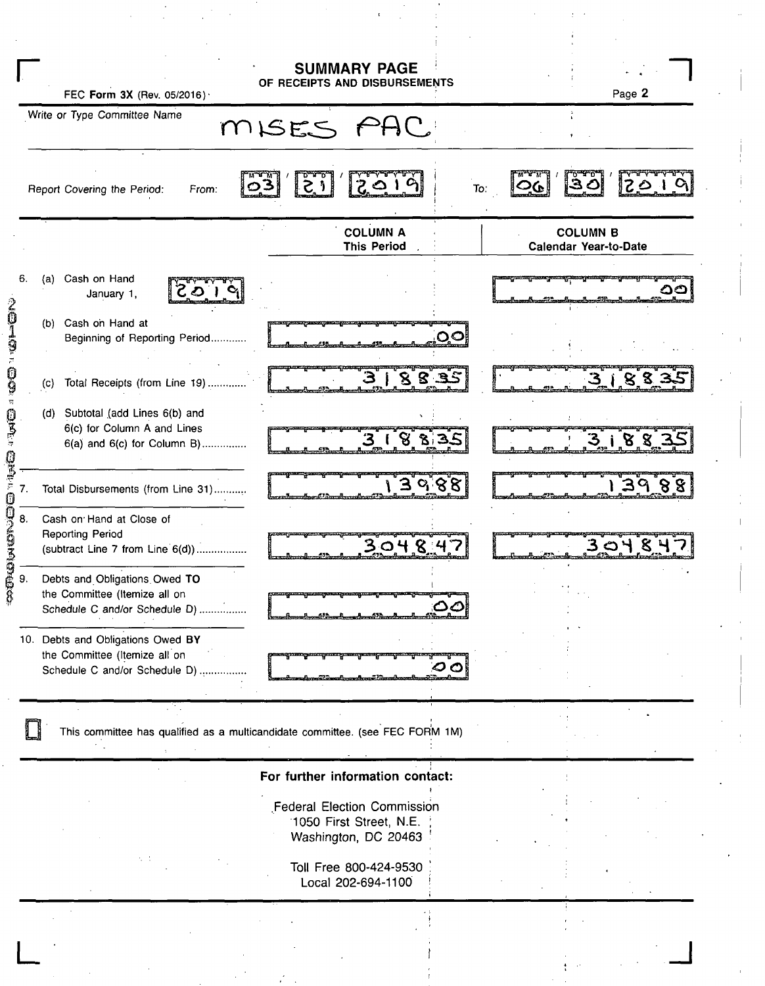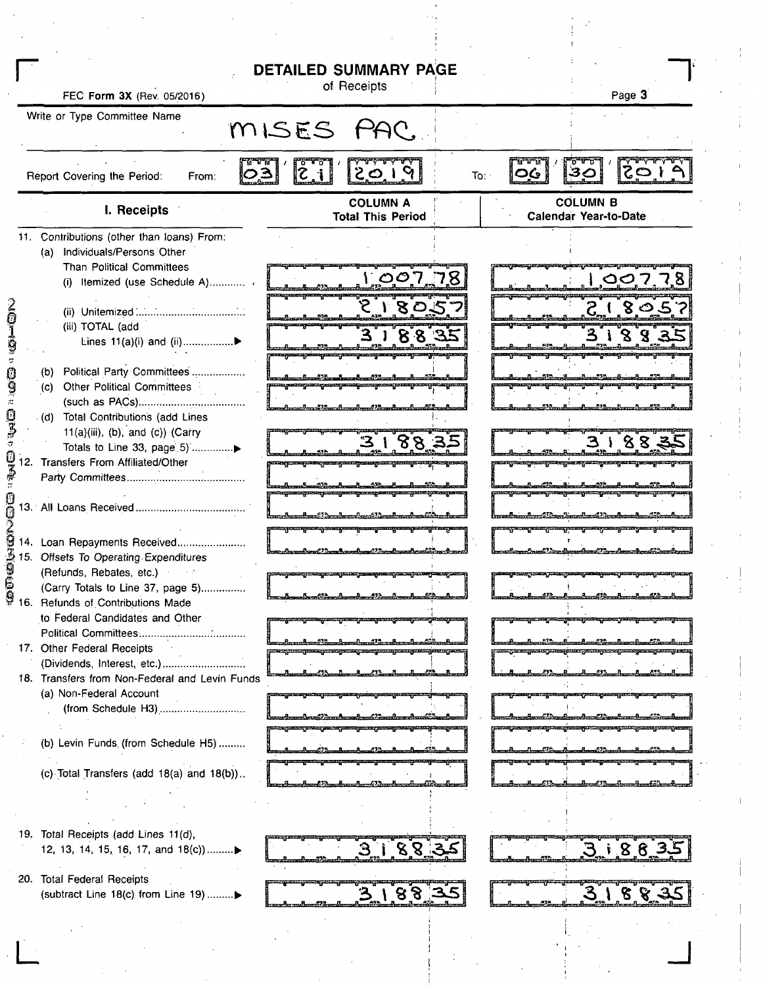|                                                                        | <b>DETAILED SUMMARY PAGE</b>                |                                                 |
|------------------------------------------------------------------------|---------------------------------------------|-------------------------------------------------|
| FEC Form 3X (Rev. 05/2016)                                             | of Receipts                                 | Page 3                                          |
| Write or Type Committee Name                                           |                                             |                                                 |
|                                                                        | MISES PAC.                                  |                                                 |
| ۣڐۣڝ<br>Report Covering the Period:<br>From:                           | $\overline{z}$ i<br>2019<br>To:             | ทางขา<br>$1 \in S$<br>30<br><u>ဝြပ</u>          |
| I. Receipts                                                            | <b>COLUMN A</b><br><b>Total This Period</b> | <b>COLUMN B</b><br><b>Calendar Year-to-Date</b> |
| 11. Contributions (other than loans) From:                             |                                             |                                                 |
| (a) Individuals/Persons Other                                          |                                             |                                                 |
| Than Political Committees<br>(i) Itemized (use Schedule A)             | 100778                                      | <u>1,007.78</u>                                 |
|                                                                        |                                             |                                                 |
|                                                                        | ر ا 8ٰ0'2۔                                  | $2^{18}$ $2^{57}$                               |
| (iii) TOTAL (add                                                       |                                             | 31883                                           |
|                                                                        | 3ຳ 8 8 35                                   |                                                 |
|                                                                        |                                             |                                                 |
| Political Party Committees<br>(b)                                      |                                             |                                                 |
| (c) Other Political Committees                                         |                                             |                                                 |
|                                                                        |                                             |                                                 |
| (d) Total Contributions (add Lines<br>11(a)(iii), (b), and (c)) (Carry |                                             |                                                 |
| Totals to Line 33, page 5) ▶                                           | 3188.35                                     | 31882                                           |
| Transfers From Affiliated/Other<br>12.                                 |                                             |                                                 |
|                                                                        |                                             |                                                 |
|                                                                        |                                             |                                                 |
|                                                                        |                                             |                                                 |
|                                                                        |                                             |                                                 |
| 14. Loan Repayments Received                                           |                                             |                                                 |
| 15. Offsets To Operating Expenditures                                  |                                             |                                                 |
| (Refunds, Rebates, etc.)                                               |                                             |                                                 |
| (Carry Totals to Line 37, page 5)                                      |                                             |                                                 |
| 16. Refunds of Contributions Made                                      |                                             |                                                 |
| to Federal Candidates and Other                                        |                                             |                                                 |
|                                                                        |                                             |                                                 |
| 17. Other Federal Receipts                                             |                                             |                                                 |
| 18. Transfers from Non-Federal and Levin Funds                         |                                             |                                                 |
| (a) Non-Federal Account                                                |                                             |                                                 |
| (from Schedule H3)                                                     |                                             |                                                 |
|                                                                        |                                             |                                                 |
| (b) Levin Funds (from Schedule H5)                                     |                                             |                                                 |
|                                                                        |                                             |                                                 |
| (c) Total Transfers (add 18(a) and 18(b))                              |                                             |                                                 |
|                                                                        |                                             |                                                 |
|                                                                        |                                             |                                                 |
|                                                                        |                                             |                                                 |
| 19. Total Receipts (add Lines 11(d),                                   |                                             |                                                 |
| 12, 13, 14, 15, 16, 17, and 18(c))                                     | 3.188335                                    | 318835                                          |
|                                                                        |                                             |                                                 |
| 20. Total Federal Receipts                                             |                                             |                                                 |
| (subtract Line 18(c) from Line 19) ▶                                   | 3.188                                       | 3188                                            |
|                                                                        |                                             |                                                 |
|                                                                        |                                             |                                                 |
|                                                                        |                                             |                                                 |
|                                                                        |                                             |                                                 |
|                                                                        |                                             |                                                 |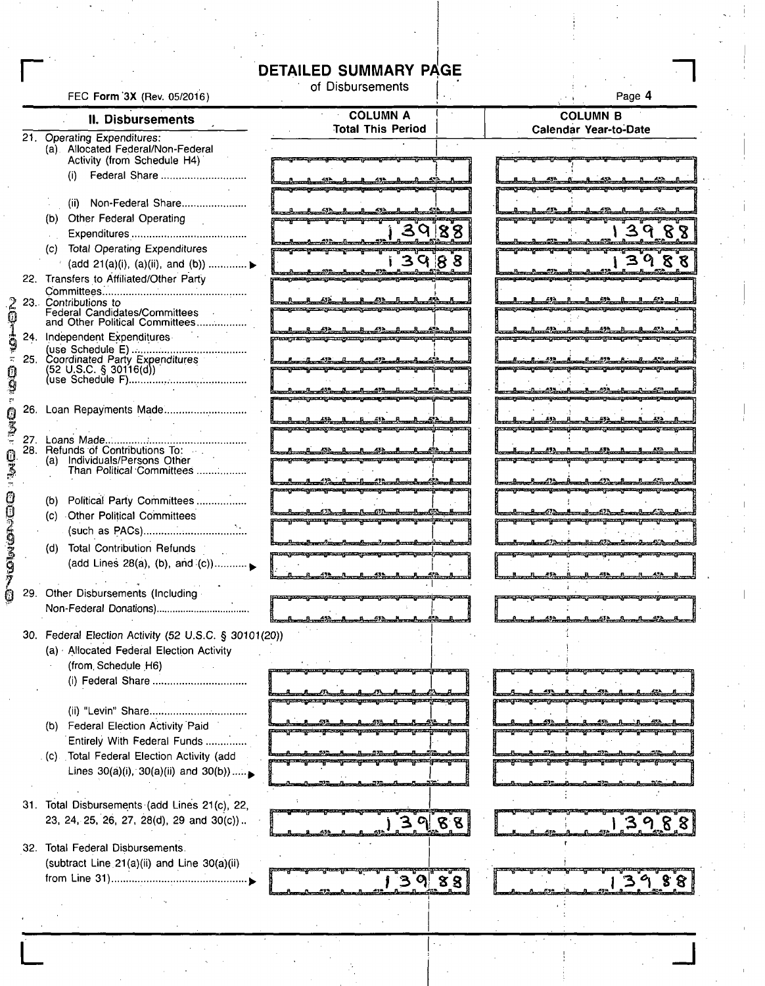## **DETAILED SUMMARY PAGE**

|                                                                   | <b>DETAILED SUMMARY PAGE</b>                                                                                                             |    |                                                                                                                      |
|-------------------------------------------------------------------|------------------------------------------------------------------------------------------------------------------------------------------|----|----------------------------------------------------------------------------------------------------------------------|
| FEC Form 3X (Rev. 05/2016)                                        | of Disbursements                                                                                                                         |    | Page 4                                                                                                               |
| II. Disbursements                                                 | <b>COLUMN A</b>                                                                                                                          |    | <b>COLUMN B</b>                                                                                                      |
| 21. Operating Expenditures:                                       | <b>Total This Period</b>                                                                                                                 |    | <b>Calendar Year-to-Date</b>                                                                                         |
| (a) Allocated Federal/Non-Federal                                 |                                                                                                                                          |    |                                                                                                                      |
| Activity (from Schedule H4)                                       |                                                                                                                                          |    |                                                                                                                      |
|                                                                   |                                                                                                                                          |    | <u> STATE JEDINALY NASTĘPATEK Z ZOSTAŁY AUDITECZNY POLITY PO ATACHAT</u>                                             |
| (ii) Non-Federal Share                                            |                                                                                                                                          |    |                                                                                                                      |
| (b) Other Federal Operating                                       |                                                                                                                                          |    |                                                                                                                      |
|                                                                   | 39188                                                                                                                                    |    | 3988                                                                                                                 |
| (c) Total Operating Expenditures                                  |                                                                                                                                          |    |                                                                                                                      |
| (add 21(a)(i), (a)(ii), and (b))  ►                               | 3988                                                                                                                                     |    | 3988                                                                                                                 |
| 22. Transfers to Affiliated/Other Party                           |                                                                                                                                          |    |                                                                                                                      |
| 23. Contributions to                                              | <u> 1 42 1 43 1 43 1 43 1 43 </u>                                                                                                        |    |                                                                                                                      |
| Federal Candidates/Committees<br>and Other Political Committees   |                                                                                                                                          |    |                                                                                                                      |
| 24. Independent Expenditures                                      |                                                                                                                                          |    | <u> 1989 - Carl Martha (h. 1988 - 1988 - 1988 - 1988 - 1988 - 1988 - 1988 - 1988 - 1988 - 1988 - 1988 - 1988 - 1</u> |
| (use Schedule E)<br>25. Coordinated Party Expenditures            |                                                                                                                                          |    |                                                                                                                      |
| $(52 \cup S.C. \S. 30116(d))$                                     |                                                                                                                                          |    |                                                                                                                      |
|                                                                   |                                                                                                                                          |    |                                                                                                                      |
| 26. Loan Repayments Made                                          |                                                                                                                                          |    |                                                                                                                      |
|                                                                   |                                                                                                                                          |    |                                                                                                                      |
|                                                                   |                                                                                                                                          |    |                                                                                                                      |
| 28. Refunds of Contributions To:                                  | _632______8.                                                                                                                             |    | <u>. 473 m. n. 1939.</u>                                                                                             |
| (a) Individuals/Persons Other<br>Than Political Committees        |                                                                                                                                          |    |                                                                                                                      |
|                                                                   | <u>ungang ing pagpagpang mga pang</u> ang                                                                                                |    | <u>-1-a-1-a-12-dee-1-a-12-a-1-a-1-</u>                                                                               |
| (b) Political Party Committees                                    |                                                                                                                                          |    |                                                                                                                      |
| (c) Other Political Committees                                    | <del>gan gan gunay an gan gan gan</del><br><del>a, pama pama pa</del>                                                                    |    | <u>and a beat () and a short () as formland (dead</u><br>1-program portgant portgant pontgant                        |
|                                                                   |                                                                                                                                          |    |                                                                                                                      |
| (d) Total Contribution Refunds                                    | <u> Ernstenrikssen (maar) – alle van de een dernstellingen (het van de een va</u><br>sonyang pangang tanggang panganang atang panah pang |    | <u>aalimeelend Drinbandisch Doorbeerdeufs</u><br><u> boqona qassa jaraqiyanng xanqrada jara</u>                      |
| (add Lines 28(a), (b), and $(c)$ )                                | <u> a cr a a cr a cr a ann an cr a ann an an cr ann an an cr ann an cr ann an cr ann an cr ann an cr ann an cr ann an c</u>              |    |                                                                                                                      |
| 29. Other Disbursements (Including                                |                                                                                                                                          |    |                                                                                                                      |
| Non-Federal Donations)                                            |                                                                                                                                          |    |                                                                                                                      |
|                                                                   |                                                                                                                                          |    |                                                                                                                      |
| 30. Federal Election Activity (52 U.S.C. § 30101(20))             |                                                                                                                                          |    |                                                                                                                      |
| (a) Allocated Federal Election Activity                           |                                                                                                                                          |    |                                                                                                                      |
| (from Schedule H6)                                                |                                                                                                                                          |    |                                                                                                                      |
| (i) Federal Share                                                 |                                                                                                                                          |    |                                                                                                                      |
|                                                                   |                                                                                                                                          |    |                                                                                                                      |
|                                                                   |                                                                                                                                          |    |                                                                                                                      |
| (b) Federal Election Activity Paid<br>Entirely With Federal Funds |                                                                                                                                          |    |                                                                                                                      |
| (c) Total Federal Election Activity (add                          |                                                                                                                                          |    |                                                                                                                      |
| Lines $30(a)(i)$ , $30(a)(ii)$ and $30(b))$                       |                                                                                                                                          |    |                                                                                                                      |
|                                                                   |                                                                                                                                          |    |                                                                                                                      |
| 31. Total Disbursements (add Lines 21(c), 22,                     |                                                                                                                                          |    |                                                                                                                      |
| 23, 24, 25, 26, 27, 28(d), 29 and 30(c))                          |                                                                                                                                          |    | $\mid$ 3.9.8.8                                                                                                       |
|                                                                   |                                                                                                                                          |    |                                                                                                                      |
| 32. Total Federal Disbursements.                                  |                                                                                                                                          |    |                                                                                                                      |
| (subtract Line 21(a)(ii) and Line 30(a)(ii)                       |                                                                                                                                          |    |                                                                                                                      |
|                                                                   | ာ ျ                                                                                                                                      | 88 |                                                                                                                      |
|                                                                   |                                                                                                                                          |    |                                                                                                                      |
|                                                                   |                                                                                                                                          |    |                                                                                                                      |
|                                                                   |                                                                                                                                          |    |                                                                                                                      |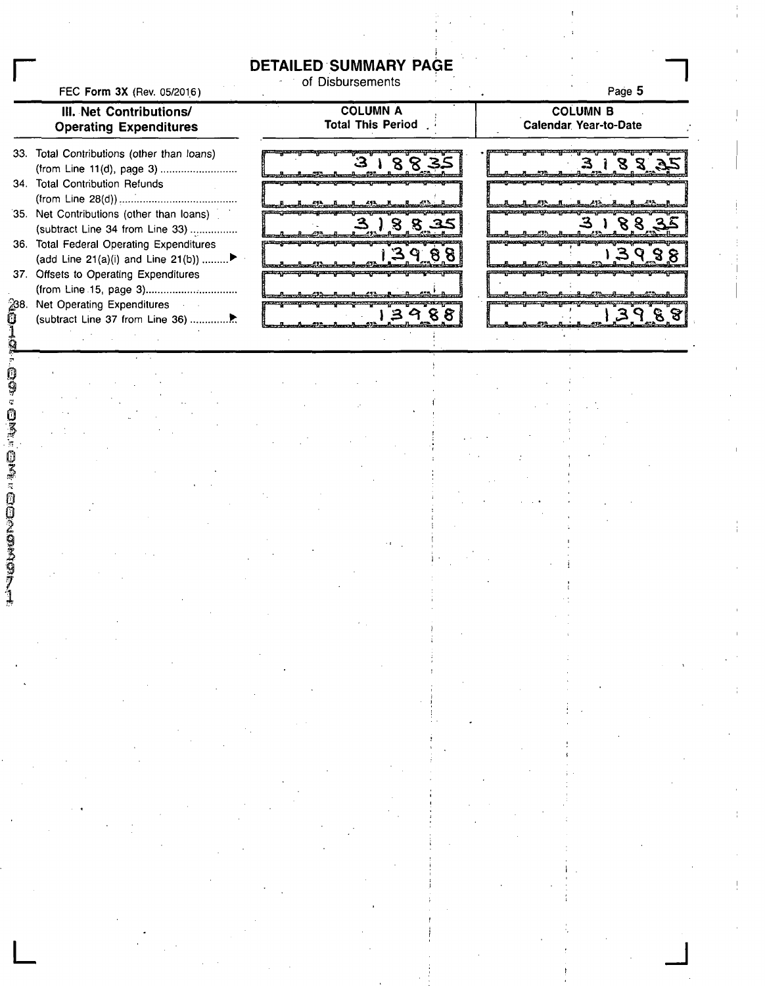**DETAILED SUMMARY PAGE** 

FEC Form 3X (Rev. 05/2016)

## of Disbursements

**Page 5** 

**n** 

**COLUMN A COLUMN B III. Net Contributions/ Total This Period . Calendar Year-to-Date Operating Expenditures**  33. Total Contributions (other than loans)  $3,188$ 3 188 (from Line 11(d), page 3) 34. Total Contribution Refunds (from Line 28(d)) .....i 35. Net Contributions (other than loans) ໌8 S  $88$  $35$ (subtract Line 34 from Line 33) 36. Total Federal Operating Expenditures  $\mathbf{q}$  $39$ 88 ବ୍ଯ ମ (add Line 21(a)(i) and Line 21(b)) 37. Offsets to Operating Expenditures (from Line 15, page 3) ^8. Net Operating Expenditures  $\mathbf{I}$  $3988$ ទ **§** (subtract Line 37 from Line 36)

**L J** 

**1**<br> **I**<br> **I**<br> **I**<br> **I**<br> **I**<br> **I**<br> **I** 

**r**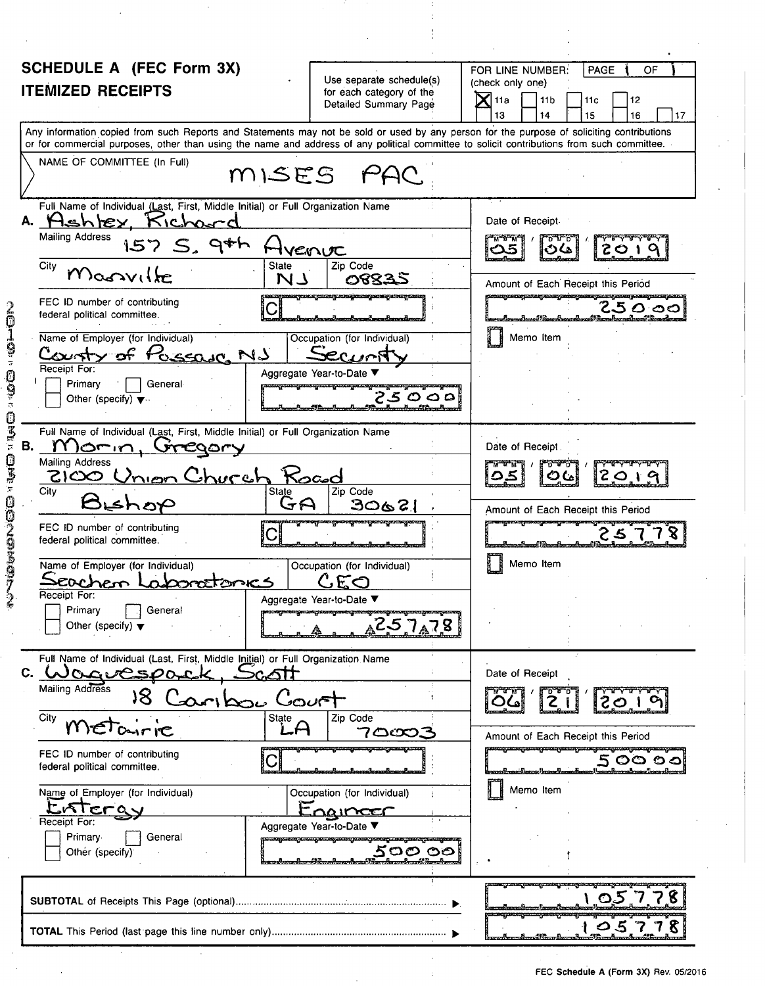| SCHEDULE A (FEC Form 3X)                                                                                                                                                                                                                                                                |                                                                               | PAGE<br>FOR LINE NUMBER:<br>OF                                                                       |
|-----------------------------------------------------------------------------------------------------------------------------------------------------------------------------------------------------------------------------------------------------------------------------------------|-------------------------------------------------------------------------------|------------------------------------------------------------------------------------------------------|
| <b>ITEMIZED RECEIPTS</b>                                                                                                                                                                                                                                                                | Use separate schedule(s)<br>for each category of the<br>Detailed Summary Page | (check only one)<br>$\mathsf{X}$ l 11a<br>12<br>11 <sub>b</sub><br>11c<br>17<br>13<br>15<br>16<br>14 |
| Any information copied from such Reports and Statements may not be sold or used by any person for the purpose of soliciting contributions<br>or for commercial purposes, other than using the name and address of any political committee to solicit contributions from such committee. |                                                                               |                                                                                                      |
| NAME OF COMMITTEE (In Full)                                                                                                                                                                                                                                                             | MISES PAC                                                                     |                                                                                                      |
| Full Name of Individual (Last, First, Middle Initial) or Full Organization Name<br>A. Hehley, Kichourd                                                                                                                                                                                  |                                                                               | Date of Receipt.                                                                                     |
| <b>Mailing Address</b><br>$157S,9$ th                                                                                                                                                                                                                                                   | VENUC                                                                         | ם ערם<br>$\infty$<br>عەت                                                                             |
| City<br><b>State</b><br>Magaville<br>N I                                                                                                                                                                                                                                                | Zip Code<br>08835                                                             | Amount of Each Receipt this Period                                                                   |
| FEC ID number of contributing<br>federal political committee.                                                                                                                                                                                                                           | 1920 TERMIN KELIYA PROVINSI KELIYA YANG MASA DI SERIKA DI TERMINA             | unggasang pawang maang pranang nawagaan ng maray na ng panawagaan n<br>25000                         |
| Name of Employer (for Individual)<br>County of Possage NJ                                                                                                                                                                                                                               | Occupation (for Individual)                                                   | Memo Item                                                                                            |
| Receipt For:<br>Primary<br>General<br>Other (specify) $\blacktriangledown$                                                                                                                                                                                                              | Aggregate Year-to-Date ▼<br>25000                                             |                                                                                                      |
| Full Name of Individual (Last, First, Middle Initial) or Full Organization Name                                                                                                                                                                                                         |                                                                               |                                                                                                      |
| В.<br>Omin<br>CQOLY<br>Mailing Address                                                                                                                                                                                                                                                  |                                                                               | Date of Receipt                                                                                      |
| 2100<br>Church<br>City<br>State<br>Bishop                                                                                                                                                                                                                                               | Kocod<br>Zip Code<br>30621<br>JA                                              | 2010<br>ပ                                                                                            |
| FEC ID number of contributing<br>federal political committee.                                                                                                                                                                                                                           | <u>ncongressing prosequ</u>                                                   | Amount of Each Receipt this Period                                                                   |
| Name of Employer (for Individual)<br>zochen 1<br><u>poratonics</u>                                                                                                                                                                                                                      | Occupation (for Individual)<br>C.EO                                           | Memo Item                                                                                            |
| Receipt For:<br>Primary<br>General<br>Other (specify) $\blacktriangledown$                                                                                                                                                                                                              | Aggregate Year-to-Date ▼<br>257 <sub>A</sub> 78                               |                                                                                                      |
| Full Name of Individual (Last, First, Middle Initial) or Full Organization Name<br>C. Wagvespa<br>†اک»<br>∫.                                                                                                                                                                            |                                                                               | Date of Receipt                                                                                      |
| Mailing Address<br>18<br>Del Doc                                                                                                                                                                                                                                                        | $C$ ovet                                                                      | 2019                                                                                                 |
| State<br>City                                                                                                                                                                                                                                                                           | Zip Code<br>7ඏඏ3                                                              | Amount of Each Receipt this Period                                                                   |
| FEC ID number of contributing<br>federal political committee.                                                                                                                                                                                                                           |                                                                               | <u> March an Scharnol (1999 chan d'arrest an Array) a confidencial ann an Co</u><br>2 ౦౦ ౦ ၁         |
| Name of Employer (for Individual)<br>LISTEray                                                                                                                                                                                                                                           | Occupation (for Individual)<br>Engincer                                       | Memo Item                                                                                            |
| Receipt For:<br>Primary<br>General<br>Other (specify)                                                                                                                                                                                                                                   | Aggregate Year-to-Date ▼<br><u>నంం ంం</u>                                     |                                                                                                      |
|                                                                                                                                                                                                                                                                                         |                                                                               | OS 778                                                                                               |
|                                                                                                                                                                                                                                                                                         |                                                                               |                                                                                                      |

 $\hat{\mathcal{A}}$ 

 $\mathcal{A}$ 

 $\bar{\beta}$ 

 $\sim$ 

 $\bar{\beta}$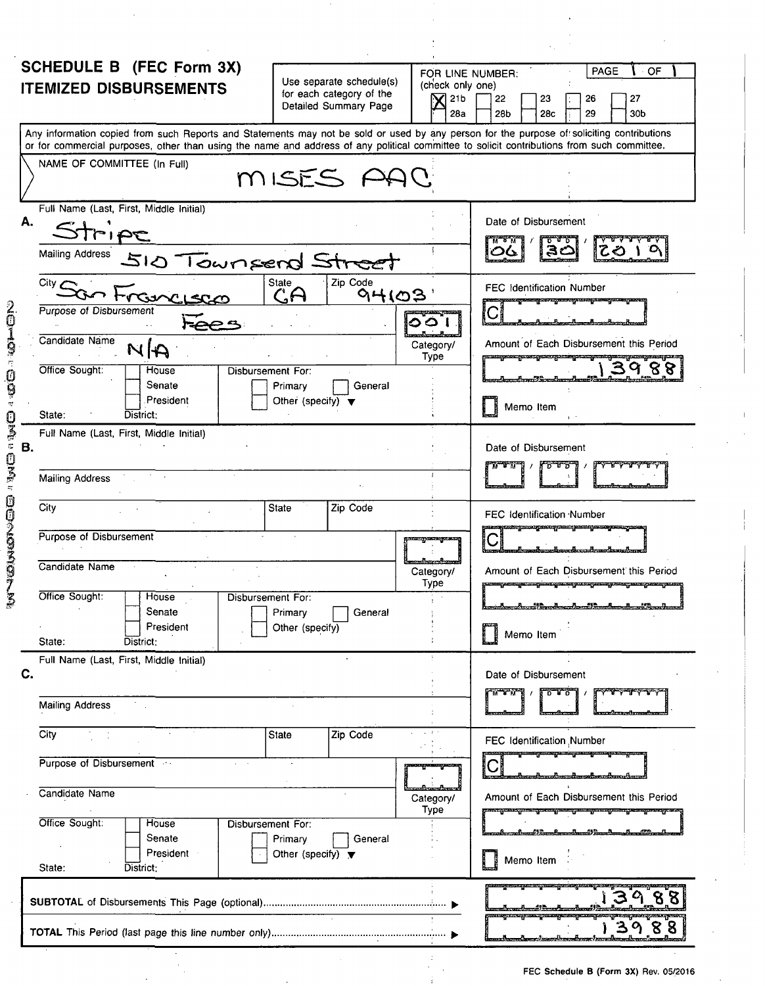| SCHEDULE B (FEC Form 3X)<br><b>ITEMIZED DISBURSEMENTS</b> | Use separate schedule(s)<br>for each category of the<br>Detailed Summary Page | PAGE<br>⊹ OF<br>FOR LINE NUMBER:<br>(check only one)<br>21b<br>22<br>26<br>27<br>23<br>28a<br>28 <sub>b</sub><br>28 <sub>c</sub><br>29<br>30b                                                                                                                                           |
|-----------------------------------------------------------|-------------------------------------------------------------------------------|-----------------------------------------------------------------------------------------------------------------------------------------------------------------------------------------------------------------------------------------------------------------------------------------|
|                                                           |                                                                               | Any information copied from such Reports and Statements may not be sold or used by any person for the purpose of soliciting contributions<br>or for commercial purposes, other than using the name and address of any political committee to solicit contributions from such committee. |
| NAME OF COMMITTEE (In Full)                               | MISES AAC                                                                     |                                                                                                                                                                                                                                                                                         |
| Full Name (Last, First, Middle Initial)<br>Α.             |                                                                               | Date of Disbursement                                                                                                                                                                                                                                                                    |
|                                                           |                                                                               |                                                                                                                                                                                                                                                                                         |
| Mailing Address 510 Townsend Str                          |                                                                               |                                                                                                                                                                                                                                                                                         |
| City $\epsilon$                                           | Zip Code<br><b>State</b>                                                      | <b>FEC Identification Number</b>                                                                                                                                                                                                                                                        |
| <b>Purpose of Disbursement</b>                            | GA<br>94103                                                                   | <u> Kapadong Serang Managkanagkanang Kabupaten Serangan </u><br>$\mathbf{C}$                                                                                                                                                                                                            |
|                                                           |                                                                               | ဝဝါ                                                                                                                                                                                                                                                                                     |
| Candidate Name<br>NA                                      |                                                                               | Amount of Each Disbursement this Period<br>Category/<br>Type<br><b><i><u> Abbyyrida – po wrzymianająca w przez</u></i></b>                                                                                                                                                              |
| Office Sought:<br><b>House</b><br>Senate                  | Disbursement For:<br>Primary<br>General                                       |                                                                                                                                                                                                                                                                                         |
| President                                                 | Other (specify) $\blacktriangledown$                                          | Memo Item                                                                                                                                                                                                                                                                               |
| State:<br>District:                                       |                                                                               |                                                                                                                                                                                                                                                                                         |
| Full Name (Last, First, Middle Initial)<br>В.             |                                                                               | Date of Disbursement                                                                                                                                                                                                                                                                    |
| <b>Mailing Address</b>                                    |                                                                               | 0 - 4                                                                                                                                                                                                                                                                                   |
|                                                           |                                                                               |                                                                                                                                                                                                                                                                                         |
| City                                                      | Zip Code<br><b>State</b>                                                      | FEC Identification Number                                                                                                                                                                                                                                                               |
| Purpose of Disbursement                                   |                                                                               | angsmoagen ny meny patity stangu<br>,,,,,,,,,,,,,,,,,,,,,,,<br><u> Anna Anna Argentina a Canadina</u>                                                                                                                                                                                   |
| Candidate Name                                            |                                                                               | Category/<br>Amount of Each Disbursement this Period                                                                                                                                                                                                                                    |
| Office Sought:<br>House                                   | Disbursement For:                                                             | Type<br><u> garang pang garang paragparang meregarang mengang pang</u>                                                                                                                                                                                                                  |
| Senate                                                    | Primary<br>General                                                            |                                                                                                                                                                                                                                                                                         |
| President<br>State:<br>District:                          | Other (specify)                                                               | Memo Item                                                                                                                                                                                                                                                                               |
| Full Name (Last, First, Middle Initial)                   |                                                                               |                                                                                                                                                                                                                                                                                         |
| C.                                                        |                                                                               | Date of Disbursement<br>$\overline{\mathbf{v}}$ , $\mathbf{v}$ , $\mathbf{v}$ , $\mathbf{v}$<br>᠊ᡉ᠊᠊ᠮ᠊ᡉ                                                                                                                                                                                 |
| <b>Mailing Address</b>                                    |                                                                               |                                                                                                                                                                                                                                                                                         |
| City                                                      | State<br>Zip Code                                                             | FEC Identification Number                                                                                                                                                                                                                                                               |
| Purpose of Disbursement<br>$\mathcal{L}^{\text{max}}$ and |                                                                               |                                                                                                                                                                                                                                                                                         |
| Candidate Name                                            |                                                                               | Amount of Each Disbursement this Period<br>Category/<br>Type<br><u>ang pangangang pang pang pang pang pang</u>                                                                                                                                                                          |
| Office Sought:<br>House                                   | Disbursement For:                                                             |                                                                                                                                                                                                                                                                                         |
| Senate<br>President                                       | Primary<br>General<br>Other (specify) $\blacktriangledown$                    | Memo Item                                                                                                                                                                                                                                                                               |
| State:<br>District:                                       |                                                                               |                                                                                                                                                                                                                                                                                         |
|                                                           |                                                                               |                                                                                                                                                                                                                                                                                         |
|                                                           |                                                                               | 13988                                                                                                                                                                                                                                                                                   |

 $\sim$ 

 $\bar{1}$  $\frac{1}{2}$ 

 $\ddot{\phantom{0}}$ 

 $\bar{\bar{z}}$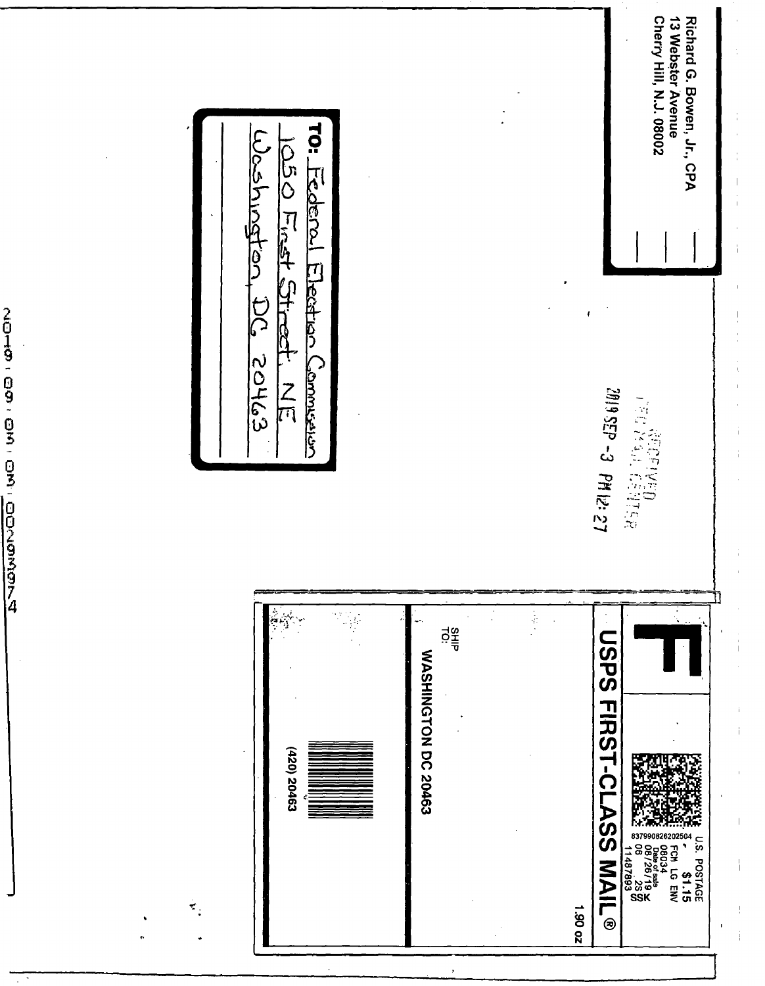